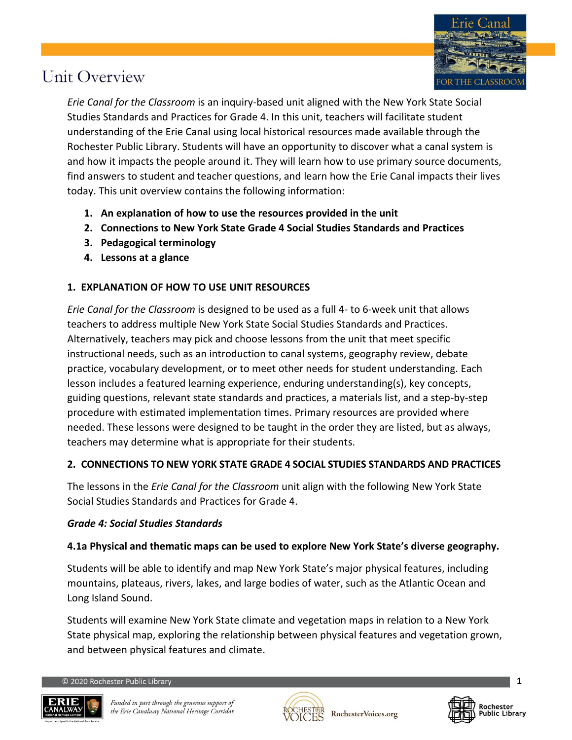

*Erie Canal for the Classroom* is an inquiry-based unit aligned with the New York State Social Studies Standards and Practices for Grade 4. In this unit, teachers will facilitate student understanding of the Erie Canal using local historical resources made available through the Rochester Public Library. Students will have an opportunity to discover what a canal system is and how it impacts the people around it. They will learn how to use primary source documents, find answers to student and teacher questions, and learn how the Erie Canal impacts their lives today. This unit overview contains the following information:

- **1. An explanation of how to use the resources provided in the unit**
- **2. Connections to New York State Grade 4 Social Studies Standards and Practices**
- **3. Pedagogical terminology**
- **4. Lessons at a glance**

## **1. EXPLANATION OF HOW TO USE UNIT RESOURCES**

*Erie Canal for the Classroom* is designed to be used as a full 4- to 6-week unit that allows teachers to address multiple New York State Social Studies Standards and Practices. Alternatively, teachers may pick and choose lessons from the unit that meet specific instructional needs, such as an introduction to canal systems, geography review, debate practice, vocabulary development, or to meet other needs for student understanding. Each lesson includes a featured learning experience, enduring understanding(s), key concepts, guiding questions, relevant state standards and practices, a materials list, and a step-by-step procedure with estimated implementation times. Primary resources are provided where needed. These lessons were designed to be taught in the order they are listed, but as always, teachers may determine what is appropriate for their students.

### **2. CONNECTIONS TO NEW YORK STATE GRADE 4 SOCIAL STUDIES STANDARDS AND PRACTICES**

The lessons in the *Erie Canal for the Classroom* unit align with the following New York State Social Studies Standards and Practices for Grade 4.

### *Grade 4: Social Studies Standards*

### **4.1a Physical and thematic maps can be used to explore New York State's diverse geography.**

Students will be able to identify and map New York State's major physical features, including mountains, plateaus, rivers, lakes, and large bodies of water, such as the Atlantic Ocean and Long Island Sound.

Students will examine New York State climate and vegetation maps in relation to a New York State physical map, exploring the relationship between physical features and vegetation grown, and between physical features and climate.





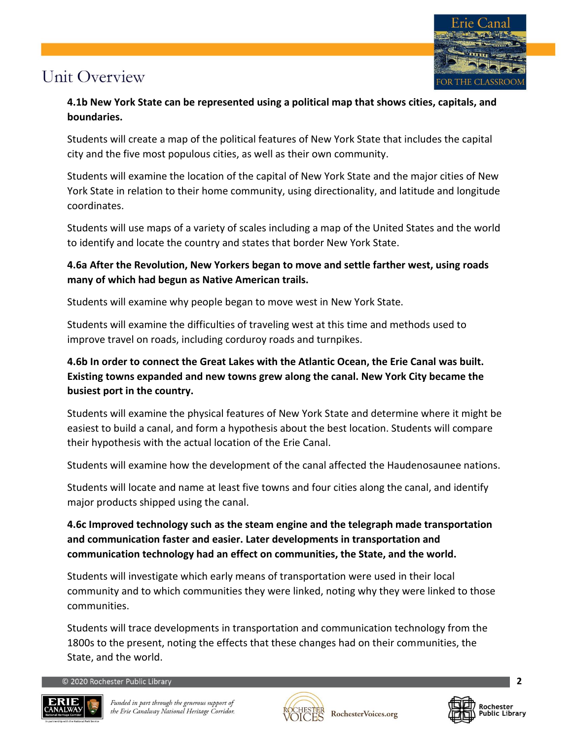

## **4.1b New York State can be represented using a political map that shows cities, capitals, and boundaries.**

Students will create a map of the political features of New York State that includes the capital city and the five most populous cities, as well as their own community.

Students will examine the location of the capital of New York State and the major cities of New York State in relation to their home community, using directionality, and latitude and longitude coordinates.

Students will use maps of a variety of scales including a map of the United States and the world to identify and locate the country and states that border New York State.

## **4.6a After the Revolution, New Yorkers began to move and settle farther west, using roads many of which had begun as Native American trails.**

Students will examine why people began to move west in New York State.

Students will examine the difficulties of traveling west at this time and methods used to improve travel on roads, including corduroy roads and turnpikes.

## **4.6b In order to connect the Great Lakes with the Atlantic Ocean, the Erie Canal was built. Existing towns expanded and new towns grew along the canal. New York City became the busiest port in the country.**

Students will examine the physical features of New York State and determine where it might be easiest to build a canal, and form a hypothesis about the best location. Students will compare their hypothesis with the actual location of the Erie Canal.

Students will examine how the development of the canal affected the Haudenosaunee nations.

Students will locate and name at least five towns and four cities along the canal, and identify major products shipped using the canal.

## **4.6c Improved technology such as the steam engine and the telegraph made transportation and communication faster and easier. Later developments in transportation and communication technology had an effect on communities, the State, and the world.**

Students will investigate which early means of transportation were used in their local community and to which communities they were linked, noting why they were linked to those communities.

Students will trace developments in transportation and communication technology from the 1800s to the present, noting the effects that these changes had on their communities, the State, and the world.





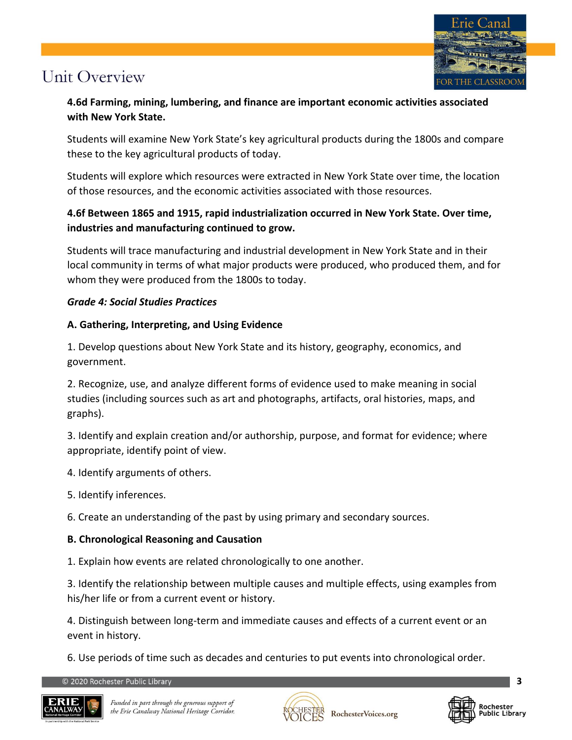

**4.6d Farming, mining, lumbering, and finance are important economic activities associated with New York State.**

Students will examine New York State's key agricultural products during the 1800s and compare these to the key agricultural products of today.

Students will explore which resources were extracted in New York State over time, the location of those resources, and the economic activities associated with those resources.

## **4.6f Between 1865 and 1915, rapid industrialization occurred in New York State. Over time, industries and manufacturing continued to grow.**

Students will trace manufacturing and industrial development in New York State and in their local community in terms of what major products were produced, who produced them, and for whom they were produced from the 1800s to today.

### *Grade 4: Social Studies Practices*

### **A. Gathering, Interpreting, and Using Evidence**

1. Develop questions about New York State and its history, geography, economics, and government.

2. Recognize, use, and analyze different forms of evidence used to make meaning in social studies (including sources such as art and photographs, artifacts, oral histories, maps, and graphs).

3. Identify and explain creation and/or authorship, purpose, and format for evidence; where appropriate, identify point of view.

- 4. Identify arguments of others.
- 5. Identify inferences.

6. Create an understanding of the past by using primary and secondary sources.

### **B. Chronological Reasoning and Causation**

1. Explain how events are related chronologically to one another.

3. Identify the relationship between multiple causes and multiple effects, using examples from his/her life or from a current event or history.

4. Distinguish between long-term and immediate causes and effects of a current event or an event in history.

6. Use periods of time such as decades and centuries to put events into chronological order.





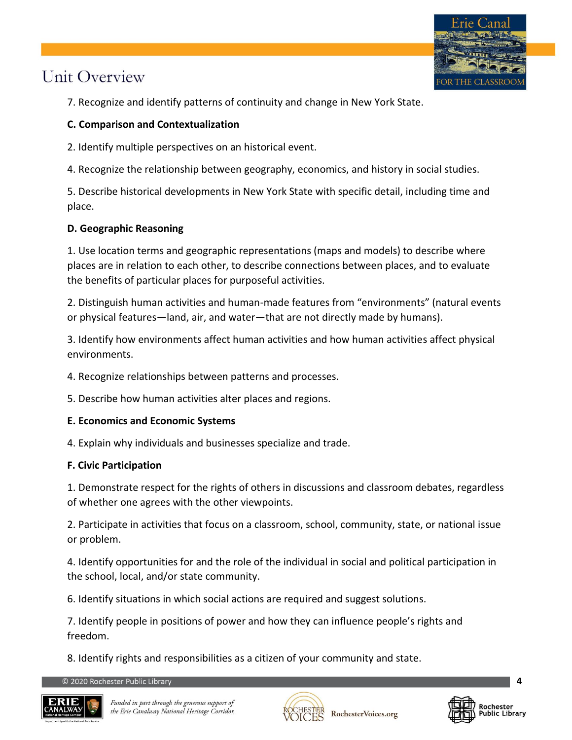

7. Recognize and identify patterns of continuity and change in New York State.

#### **C. Comparison and Contextualization**

2. Identify multiple perspectives on an historical event.

4. Recognize the relationship between geography, economics, and history in social studies.

5. Describe historical developments in New York State with specific detail, including time and place.

### **D. Geographic Reasoning**

1. Use location terms and geographic representations (maps and models) to describe where places are in relation to each other, to describe connections between places, and to evaluate the benefits of particular places for purposeful activities.

2. Distinguish human activities and human-made features from "environments" (natural events or physical features—land, air, and water—that are not directly made by humans).

3. Identify how environments affect human activities and how human activities affect physical environments.

4. Recognize relationships between patterns and processes.

5. Describe how human activities alter places and regions.

#### **E. Economics and Economic Systems**

4. Explain why individuals and businesses specialize and trade.

#### **F. Civic Participation**

1. Demonstrate respect for the rights of others in discussions and classroom debates, regardless of whether one agrees with the other viewpoints.

2. Participate in activities that focus on a classroom, school, community, state, or national issue or problem.

4. Identify opportunities for and the role of the individual in social and political participation in the school, local, and/or state community.

6. Identify situations in which social actions are required and suggest solutions.

7. Identify people in positions of power and how they can influence people's rights and freedom.

8. Identify rights and responsibilities as a citizen of your community and state.





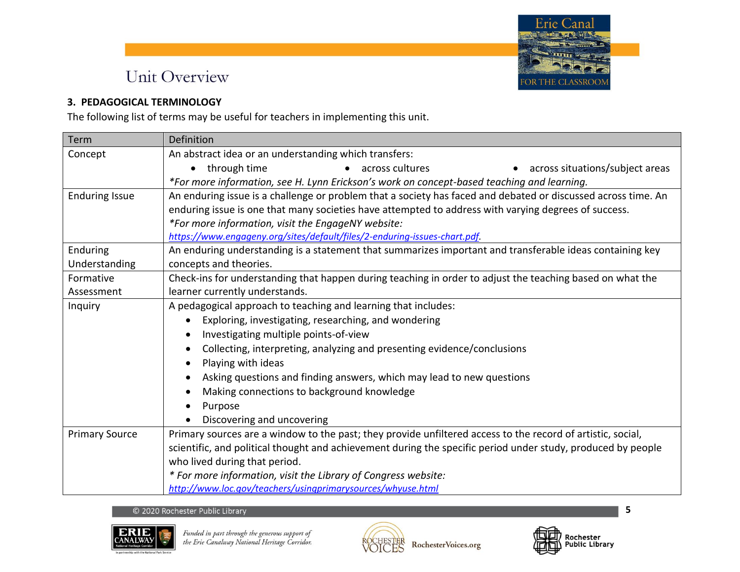

#### **3. PEDAGOGICAL TERMINOLOGY**

The following list of terms may be useful for teachers in implementing this unit.

| Term                  | <b>Definition</b>                                                                                             |
|-----------------------|---------------------------------------------------------------------------------------------------------------|
| Concept               | An abstract idea or an understanding which transfers:                                                         |
|                       | • through time<br>• across cultures<br>across situations/subject areas                                        |
|                       | *For more information, see H. Lynn Erickson's work on concept-based teaching and learning.                    |
| <b>Enduring Issue</b> | An enduring issue is a challenge or problem that a society has faced and debated or discussed across time. An |
|                       | enduring issue is one that many societies have attempted to address with varying degrees of success.          |
|                       | *For more information, visit the EngageNY website:                                                            |
|                       | https://www.engageny.org/sites/default/files/2-enduring-issues-chart.pdf                                      |
| Enduring              | An enduring understanding is a statement that summarizes important and transferable ideas containing key      |
| Understanding         | concepts and theories.                                                                                        |
| Formative             | Check-ins for understanding that happen during teaching in order to adjust the teaching based on what the     |
| Assessment            | learner currently understands.                                                                                |
| Inquiry               | A pedagogical approach to teaching and learning that includes:                                                |
|                       | Exploring, investigating, researching, and wondering                                                          |
|                       | Investigating multiple points-of-view                                                                         |
|                       | Collecting, interpreting, analyzing and presenting evidence/conclusions                                       |
|                       | Playing with ideas                                                                                            |
|                       | Asking questions and finding answers, which may lead to new questions                                         |
|                       | Making connections to background knowledge                                                                    |
|                       | Purpose                                                                                                       |
|                       | Discovering and uncovering                                                                                    |
| <b>Primary Source</b> | Primary sources are a window to the past; they provide unfiltered access to the record of artistic, social,   |
|                       | scientific, and political thought and achievement during the specific period under study, produced by people  |
|                       | who lived during that period.                                                                                 |
|                       | * For more information, visit the Library of Congress website:                                                |
|                       | http://www.loc.gov/teachers/usingprimarysources/whyuse.html                                                   |

#### © 2020 Rochester Public Library





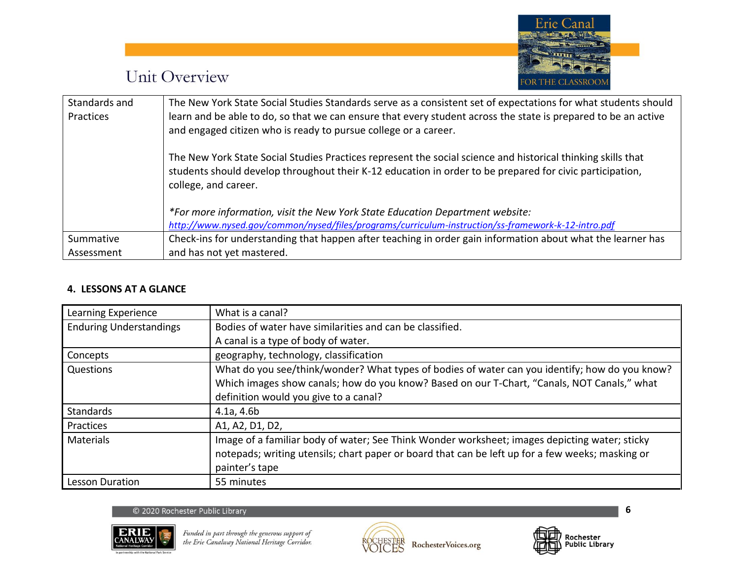

| Standards and | The New York State Social Studies Standards serve as a consistent set of expectations for what students should |
|---------------|----------------------------------------------------------------------------------------------------------------|
| Practices     | learn and be able to do, so that we can ensure that every student across the state is prepared to be an active |
|               | and engaged citizen who is ready to pursue college or a career.                                                |
|               | The New York State Social Studies Practices represent the social science and historical thinking skills that   |
|               | students should develop throughout their K-12 education in order to be prepared for civic participation,       |
|               | college, and career.                                                                                           |
|               | *For more information, visit the New York State Education Department website:                                  |
|               | http://www.nysed.gov/common/nysed/files/programs/curriculum-instruction/ss-framework-k-12-intro.pdf            |
| Summative     | Check-ins for understanding that happen after teaching in order gain information about what the learner has    |
| Assessment    | and has not yet mastered.                                                                                      |

#### **4. LESSONS AT A GLANCE**

| Learning Experience            | What is a canal?                                                                                 |
|--------------------------------|--------------------------------------------------------------------------------------------------|
| <b>Enduring Understandings</b> | Bodies of water have similarities and can be classified.                                         |
|                                | A canal is a type of body of water.                                                              |
| Concepts                       | geography, technology, classification                                                            |
| Questions                      | What do you see/think/wonder? What types of bodies of water can you identify; how do you know?   |
|                                | Which images show canals; how do you know? Based on our T-Chart, "Canals, NOT Canals," what      |
|                                | definition would you give to a canal?                                                            |
| Standards                      | 4.1a, 4.6b                                                                                       |
| <b>Practices</b>               | A1, A2, D1, D2,                                                                                  |
| <b>Materials</b>               | Image of a familiar body of water; See Think Wonder worksheet; images depicting water; sticky    |
|                                | notepads; writing utensils; chart paper or board that can be left up for a few weeks; masking or |
|                                | painter's tape                                                                                   |
| Lesson Duration                | 55 minutes                                                                                       |

#### © 2020 Rochester Public Library







Rochester<br>Public Library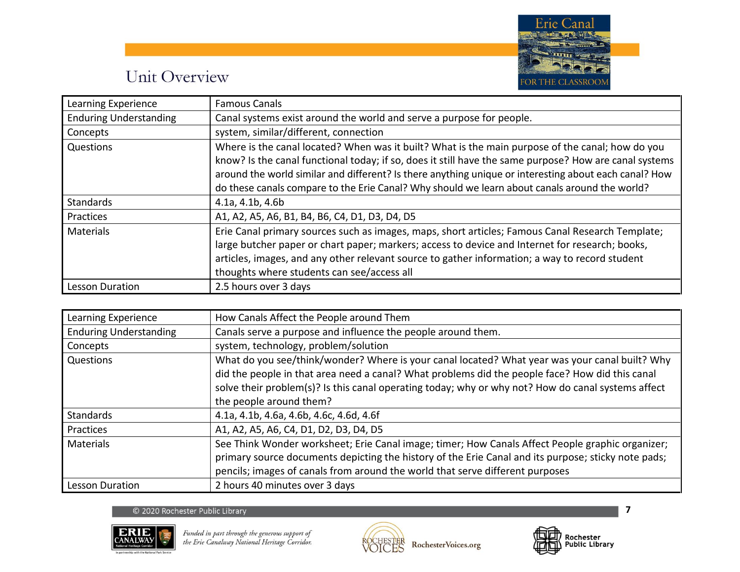

| Learning Experience           | <b>Famous Canals</b>                                                                                   |
|-------------------------------|--------------------------------------------------------------------------------------------------------|
| <b>Enduring Understanding</b> | Canal systems exist around the world and serve a purpose for people.                                   |
| Concepts                      | system, similar/different, connection                                                                  |
| Questions                     | Where is the canal located? When was it built? What is the main purpose of the canal; how do you       |
|                               | know? Is the canal functional today; if so, does it still have the same purpose? How are canal systems |
|                               | around the world similar and different? Is there anything unique or interesting about each canal? How  |
|                               | do these canals compare to the Erie Canal? Why should we learn about canals around the world?          |
| Standards                     | 4.1a, 4.1b, 4.6b                                                                                       |
| Practices                     | A1, A2, A5, A6, B1, B4, B6, C4, D1, D3, D4, D5                                                         |
| <b>Materials</b>              | Erie Canal primary sources such as images, maps, short articles; Famous Canal Research Template;       |
|                               | large butcher paper or chart paper; markers; access to device and Internet for research; books,        |
|                               | articles, images, and any other relevant source to gather information; a way to record student         |
|                               | thoughts where students can see/access all                                                             |
| Lesson Duration               | 2.5 hours over 3 days                                                                                  |

| Learning Experience           | How Canals Affect the People around Them                                                                                                                                                                                                                                                                                           |
|-------------------------------|------------------------------------------------------------------------------------------------------------------------------------------------------------------------------------------------------------------------------------------------------------------------------------------------------------------------------------|
| <b>Enduring Understanding</b> | Canals serve a purpose and influence the people around them.                                                                                                                                                                                                                                                                       |
| Concepts                      | system, technology, problem/solution                                                                                                                                                                                                                                                                                               |
| Questions                     | What do you see/think/wonder? Where is your canal located? What year was your canal built? Why<br>did the people in that area need a canal? What problems did the people face? How did this canal<br>solve their problem(s)? Is this canal operating today; why or why not? How do canal systems affect<br>the people around them? |
| Standards                     | 4.1a, 4.1b, 4.6a, 4.6b, 4.6c, 4.6d, 4.6f                                                                                                                                                                                                                                                                                           |
| Practices                     | A1, A2, A5, A6, C4, D1, D2, D3, D4, D5                                                                                                                                                                                                                                                                                             |
| Materials                     | See Think Wonder worksheet; Erie Canal image; timer; How Canals Affect People graphic organizer;<br>primary source documents depicting the history of the Erie Canal and its purpose; sticky note pads;<br>pencils; images of canals from around the world that serve different purposes                                           |
| <b>Lesson Duration</b>        | 2 hours 40 minutes over 3 days                                                                                                                                                                                                                                                                                                     |

#### © 2020 Rochester Public Library







 $\overline{\mathbf{z}}$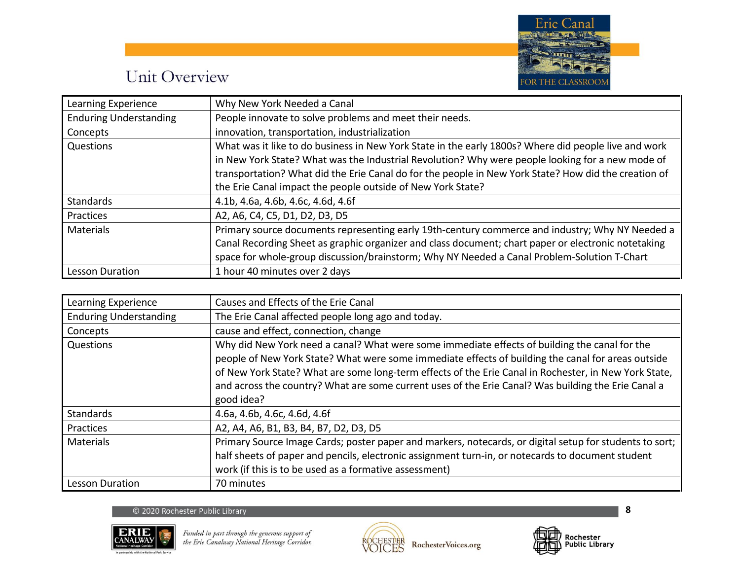

| Learning Experience           | Why New York Needed a Canal                                                                          |
|-------------------------------|------------------------------------------------------------------------------------------------------|
| <b>Enduring Understanding</b> | People innovate to solve problems and meet their needs.                                              |
| Concepts                      | innovation, transportation, industrialization                                                        |
| Questions                     | What was it like to do business in New York State in the early 1800s? Where did people live and work |
|                               | in New York State? What was the Industrial Revolution? Why were people looking for a new mode of     |
|                               | transportation? What did the Erie Canal do for the people in New York State? How did the creation of |
|                               | the Erie Canal impact the people outside of New York State?                                          |
| <b>Standards</b>              | 4.1b, 4.6a, 4.6b, 4.6c, 4.6d, 4.6f                                                                   |
| Practices                     | A2, A6, C4, C5, D1, D2, D3, D5                                                                       |
| <b>Materials</b>              | Primary source documents representing early 19th-century commerce and industry; Why NY Needed a      |
|                               | Canal Recording Sheet as graphic organizer and class document; chart paper or electronic notetaking  |
|                               | space for whole-group discussion/brainstorm; Why NY Needed a Canal Problem-Solution T-Chart          |
| <b>Lesson Duration</b>        | 1 hour 40 minutes over 2 days                                                                        |

| Learning Experience           | Causes and Effects of the Erie Canal                                                                                                                                                                                                                                                                                                                                                                                              |
|-------------------------------|-----------------------------------------------------------------------------------------------------------------------------------------------------------------------------------------------------------------------------------------------------------------------------------------------------------------------------------------------------------------------------------------------------------------------------------|
| <b>Enduring Understanding</b> | The Erie Canal affected people long ago and today.                                                                                                                                                                                                                                                                                                                                                                                |
| Concepts                      | cause and effect, connection, change                                                                                                                                                                                                                                                                                                                                                                                              |
| Questions                     | Why did New York need a canal? What were some immediate effects of building the canal for the<br>people of New York State? What were some immediate effects of building the canal for areas outside<br>of New York State? What are some long-term effects of the Erie Canal in Rochester, in New York State,<br>and across the country? What are some current uses of the Erie Canal? Was building the Erie Canal a<br>good idea? |
| Standards                     | 4.6a, 4.6b, 4.6c, 4.6d, 4.6f                                                                                                                                                                                                                                                                                                                                                                                                      |
| Practices                     | A2, A4, A6, B1, B3, B4, B7, D2, D3, D5                                                                                                                                                                                                                                                                                                                                                                                            |
| Materials                     | Primary Source Image Cards; poster paper and markers, notecards, or digital setup for students to sort;<br>half sheets of paper and pencils, electronic assignment turn-in, or notecards to document student<br>work (if this is to be used as a formative assessment)                                                                                                                                                            |
| <b>Lesson Duration</b>        | 70 minutes                                                                                                                                                                                                                                                                                                                                                                                                                        |

#### © 2020 Rochester Public Library





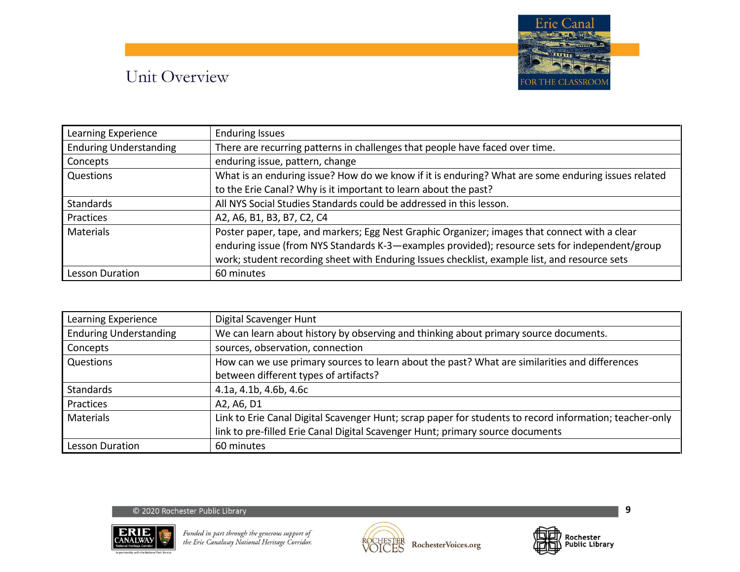

| Learning Experience           | <b>Enduring Issues</b>                                                                             |
|-------------------------------|----------------------------------------------------------------------------------------------------|
| <b>Enduring Understanding</b> | There are recurring patterns in challenges that people have faced over time.                       |
| Concepts                      | enduring issue, pattern, change                                                                    |
| Questions                     | What is an enduring issue? How do we know if it is enduring? What are some enduring issues related |
|                               | to the Erie Canal? Why is it important to learn about the past?                                    |
| <b>Standards</b>              | All NYS Social Studies Standards could be addressed in this lesson.                                |
| Practices                     | A2, A6, B1, B3, B7, C2, C4                                                                         |
| Materials                     | Poster paper, tape, and markers; Egg Nest Graphic Organizer; images that connect with a clear      |
|                               | enduring issue (from NYS Standards K-3-examples provided); resource sets for independent/group     |
|                               | work; student recording sheet with Enduring Issues checklist, example list, and resource sets      |
| <b>Lesson Duration</b>        | 60 minutes                                                                                         |

| Learning Experience           | Digital Scavenger Hunt                                                                                  |
|-------------------------------|---------------------------------------------------------------------------------------------------------|
| <b>Enduring Understanding</b> | We can learn about history by observing and thinking about primary source documents.                    |
| Concepts                      | sources, observation, connection                                                                        |
| Questions                     | How can we use primary sources to learn about the past? What are similarities and differences           |
|                               | between different types of artifacts?                                                                   |
| <b>Standards</b>              | 4.1a, 4.1b, 4.6b, 4.6c                                                                                  |
| Practices                     | A2, A6, D1                                                                                              |
| Materials                     | Link to Erie Canal Digital Scavenger Hunt; scrap paper for students to record information; teacher-only |
|                               | link to pre-filled Erie Canal Digital Scavenger Hunt; primary source documents                          |
| <b>Lesson Duration</b>        | 60 minutes                                                                                              |

#### © 2020 Rochester Public Library





 $\boldsymbol{9}$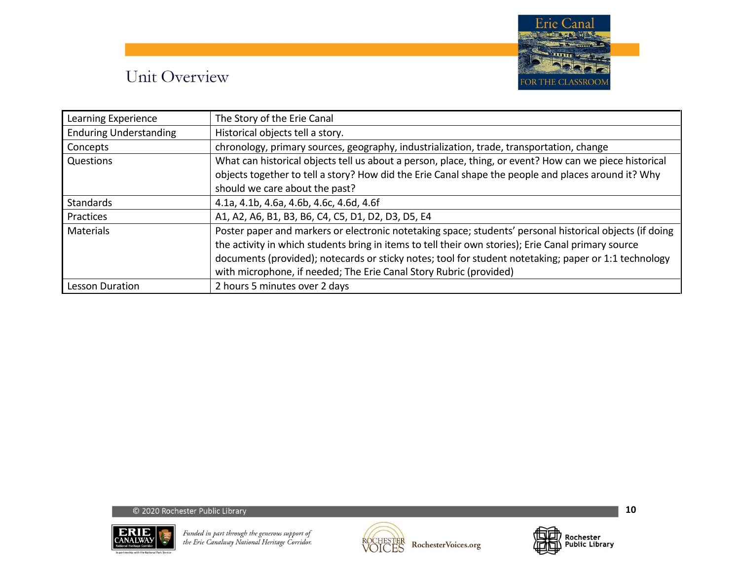

| Learning Experience           | The Story of the Erie Canal                                                                              |
|-------------------------------|----------------------------------------------------------------------------------------------------------|
| <b>Enduring Understanding</b> | Historical objects tell a story.                                                                         |
| Concepts                      | chronology, primary sources, geography, industrialization, trade, transportation, change                 |
| Questions                     | What can historical objects tell us about a person, place, thing, or event? How can we piece historical  |
|                               | objects together to tell a story? How did the Erie Canal shape the people and places around it? Why      |
|                               | should we care about the past?                                                                           |
| <b>Standards</b>              | 4.1a, 4.1b, 4.6a, 4.6b, 4.6c, 4.6d, 4.6f                                                                 |
| Practices                     | A1, A2, A6, B1, B3, B6, C4, C5, D1, D2, D3, D5, E4                                                       |
| <b>Materials</b>              | Poster paper and markers or electronic notetaking space; students' personal historical objects (if doing |
|                               | the activity in which students bring in items to tell their own stories); Erie Canal primary source      |
|                               | documents (provided); notecards or sticky notes; tool for student notetaking; paper or 1:1 technology    |
|                               | with microphone, if needed; The Erie Canal Story Rubric (provided)                                       |
| Lesson Duration               | 2 hours 5 minutes over 2 days                                                                            |





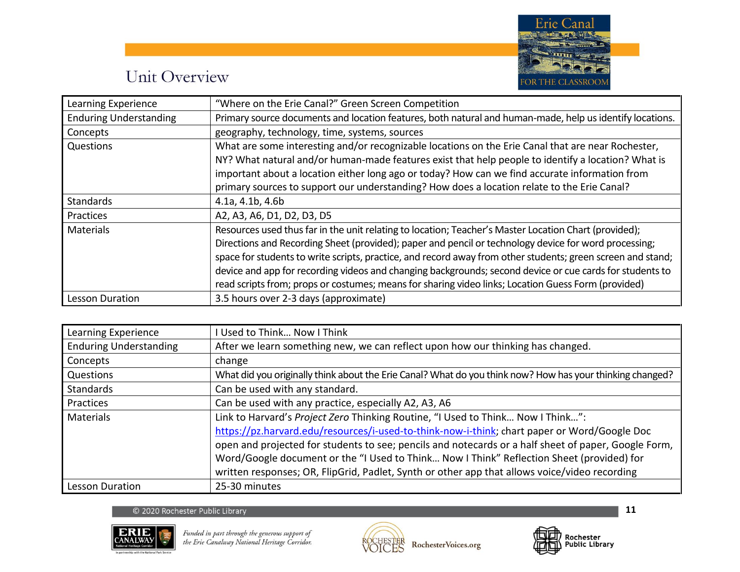

| Learning Experience           | "Where on the Erie Canal?" Green Screen Competition                                                         |
|-------------------------------|-------------------------------------------------------------------------------------------------------------|
| <b>Enduring Understanding</b> | Primary source documents and location features, both natural and human-made, help us identify locations.    |
| Concepts                      | geography, technology, time, systems, sources                                                               |
| Questions                     | What are some interesting and/or recognizable locations on the Erie Canal that are near Rochester,          |
|                               | NY? What natural and/or human-made features exist that help people to identify a location? What is          |
|                               | important about a location either long ago or today? How can we find accurate information from              |
|                               | primary sources to support our understanding? How does a location relate to the Erie Canal?                 |
| <b>Standards</b>              | 4.1a, 4.1b, 4.6b                                                                                            |
| Practices                     | A2, A3, A6, D1, D2, D3, D5                                                                                  |
| <b>Materials</b>              | Resources used thus far in the unit relating to location; Teacher's Master Location Chart (provided);       |
|                               | Directions and Recording Sheet (provided); paper and pencil or technology device for word processing;       |
|                               | space for students to write scripts, practice, and record away from other students; green screen and stand; |
|                               | device and app for recording videos and changing backgrounds; second device or cue cards for students to    |
|                               | read scripts from; props or costumes; means for sharing video links; Location Guess Form (provided)         |
| Lesson Duration               | 3.5 hours over 2-3 days (approximate)                                                                       |

| Learning Experience           | Used to Think Now I Think                                                                                 |
|-------------------------------|-----------------------------------------------------------------------------------------------------------|
| <b>Enduring Understanding</b> | After we learn something new, we can reflect upon how our thinking has changed.                           |
| Concepts                      | change                                                                                                    |
| Questions                     | What did you originally think about the Erie Canal? What do you think now? How has your thinking changed? |
| <b>Standards</b>              | Can be used with any standard.                                                                            |
| Practices                     | Can be used with any practice, especially A2, A3, A6                                                      |
| <b>Materials</b>              | Link to Harvard's Project Zero Thinking Routine, "I Used to Think Now I Think":                           |
|                               | https://pz.harvard.edu/resources/i-used-to-think-now-i-think; chart paper or Word/Google Doc              |
|                               | open and projected for students to see; pencils and notecards or a half sheet of paper, Google Form,      |
|                               | Word/Google document or the "I Used to Think Now I Think" Reflection Sheet (provided) for                 |
|                               | written responses; OR, FlipGrid, Padlet, Synth or other app that allows voice/video recording             |
| Lesson Duration               | 25-30 minutes                                                                                             |





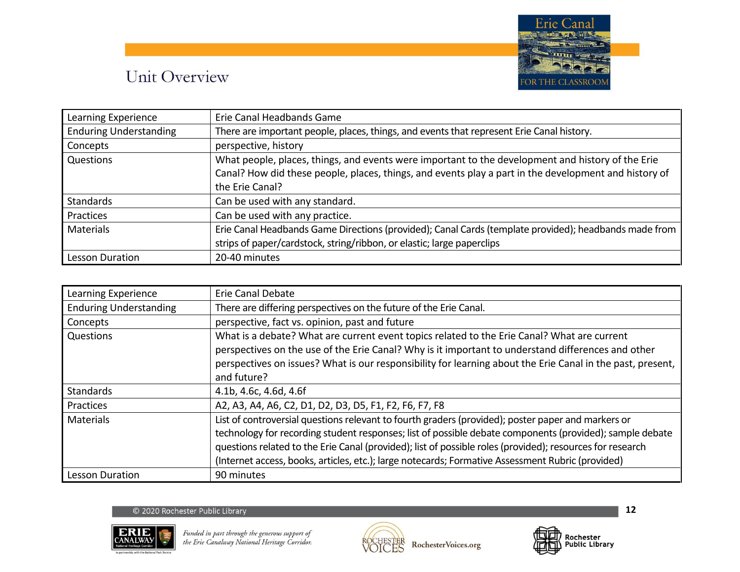

| Learning Experience           | Erie Canal Headbands Game                                                                             |
|-------------------------------|-------------------------------------------------------------------------------------------------------|
| <b>Enduring Understanding</b> | There are important people, places, things, and events that represent Erie Canal history.             |
| Concepts                      | perspective, history                                                                                  |
| Questions                     | What people, places, things, and events were important to the development and history of the Erie     |
|                               | Canal? How did these people, places, things, and events play a part in the development and history of |
|                               | the Erie Canal?                                                                                       |
| <b>Standards</b>              | Can be used with any standard.                                                                        |
| Practices                     | Can be used with any practice.                                                                        |
| <b>Materials</b>              | Erie Canal Headbands Game Directions (provided); Canal Cards (template provided); headbands made from |
|                               | strips of paper/cardstock, string/ribbon, or elastic; large paperclips                                |
| <b>Lesson Duration</b>        | 20-40 minutes                                                                                         |

| Learning Experience           | Erie Canal Debate                                                                                                                                                                                                                                                                                                                                                                                                                |
|-------------------------------|----------------------------------------------------------------------------------------------------------------------------------------------------------------------------------------------------------------------------------------------------------------------------------------------------------------------------------------------------------------------------------------------------------------------------------|
| <b>Enduring Understanding</b> | There are differing perspectives on the future of the Erie Canal.                                                                                                                                                                                                                                                                                                                                                                |
| Concepts                      | perspective, fact vs. opinion, past and future                                                                                                                                                                                                                                                                                                                                                                                   |
| Questions                     | What is a debate? What are current event topics related to the Erie Canal? What are current<br>perspectives on the use of the Erie Canal? Why is it important to understand differences and other<br>perspectives on issues? What is our responsibility for learning about the Erie Canal in the past, present,<br>and future?                                                                                                   |
| <b>Standards</b>              | 4.1b, 4.6c, 4.6d, 4.6f                                                                                                                                                                                                                                                                                                                                                                                                           |
| Practices                     | A2, A3, A4, A6, C2, D1, D2, D3, D5, F1, F2, F6, F7, F8                                                                                                                                                                                                                                                                                                                                                                           |
| <b>Materials</b>              | List of controversial questions relevant to fourth graders (provided); poster paper and markers or<br>technology for recording student responses; list of possible debate components (provided); sample debate<br>questions related to the Erie Canal (provided); list of possible roles (provided); resources for research<br>(Internet access, books, articles, etc.); large notecards; Formative Assessment Rubric (provided) |
| Lesson Duration               | 90 minutes                                                                                                                                                                                                                                                                                                                                                                                                                       |

#### © 2020 Rochester Public Library